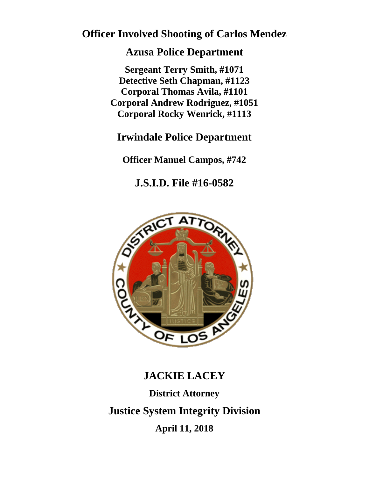## **Officer Involved Shooting of Carlos Mendez**

### **Azusa Police Department**

**Sergeant Terry Smith, #1071 Detective Seth Chapman, #1123 Corporal Thomas Avila, #1101 Corporal Andrew Rodriguez, #1051 Corporal Rocky Wenrick, #1113**

## **Irwindale Police Department**

**Officer Manuel Campos, #742**

**J.S.I.D. File #16-0582**



# **JACKIE LACEY District Attorney Justice System Integrity Division April 11, 2018**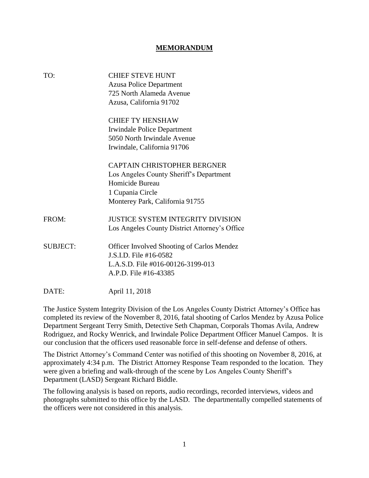#### **MEMORANDUM**

| TO:             | <b>CHIEF STEVE HUNT</b>                       |
|-----------------|-----------------------------------------------|
|                 | <b>Azusa Police Department</b>                |
|                 | 725 North Alameda Avenue                      |
|                 | Azusa, California 91702                       |
|                 | <b>CHIEF TY HENSHAW</b>                       |
|                 | <b>Irwindale Police Department</b>            |
|                 | 5050 North Irwindale Avenue                   |
|                 | Irwindale, California 91706                   |
|                 | <b>CAPTAIN CHRISTOPHER BERGNER</b>            |
|                 | Los Angeles County Sheriff's Department       |
|                 | Homicide Bureau                               |
|                 | 1 Cupania Circle                              |
|                 | Monterey Park, California 91755               |
| FROM:           | <b>JUSTICE SYSTEM INTEGRITY DIVISION</b>      |
|                 | Los Angeles County District Attorney's Office |
| <b>SUBJECT:</b> | Officer Involved Shooting of Carlos Mendez    |
|                 | J.S.I.D. File #16-0582                        |
|                 | L.A.S.D. File #016-00126-3199-013             |
|                 | A.P.D. File #16-43385                         |
| DATE:           | April 11, 2018                                |

The Justice System Integrity Division of the Los Angeles County District Attorney's Office has completed its review of the November 8, 2016, fatal shooting of Carlos Mendez by Azusa Police Department Sergeant Terry Smith, Detective Seth Chapman, Corporals Thomas Avila, Andrew Rodriguez, and Rocky Wenrick, and Irwindale Police Department Officer Manuel Campos. It is our conclusion that the officers used reasonable force in self-defense and defense of others.

The District Attorney's Command Center was notified of this shooting on November 8, 2016, at approximately 4:34 p.m. The District Attorney Response Team responded to the location. They were given a briefing and walk-through of the scene by Los Angeles County Sheriff's Department (LASD) Sergeant Richard Biddle.

The following analysis is based on reports, audio recordings, recorded interviews, videos and photographs submitted to this office by the LASD. The departmentally compelled statements of the officers were not considered in this analysis.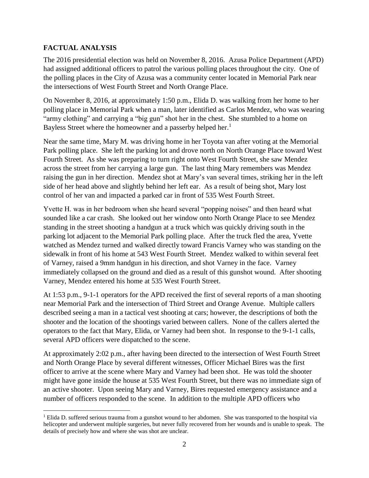#### **FACTUAL ANALYSIS**

 $\overline{\phantom{a}}$ 

The 2016 presidential election was held on November 8, 2016. Azusa Police Department (APD) had assigned additional officers to patrol the various polling places throughout the city. One of the polling places in the City of Azusa was a community center located in Memorial Park near the intersections of West Fourth Street and North Orange Place.

On November 8, 2016, at approximately 1:50 p.m., Elida D. was walking from her home to her polling place in Memorial Park when a man, later identified as Carlos Mendez, who was wearing "army clothing" and carrying a "big gun" shot her in the chest. She stumbled to a home on Bayless Street where the homeowner and a passerby helped her.<sup>1</sup>

Near the same time, Mary M. was driving home in her Toyota van after voting at the Memorial Park polling place. She left the parking lot and drove north on North Orange Place toward West Fourth Street. As she was preparing to turn right onto West Fourth Street, she saw Mendez across the street from her carrying a large gun. The last thing Mary remembers was Mendez raising the gun in her direction. Mendez shot at Mary's van several times, striking her in the left side of her head above and slightly behind her left ear. As a result of being shot, Mary lost control of her van and impacted a parked car in front of 535 West Fourth Street.

Yvette H. was in her bedroom when she heard several "popping noises" and then heard what sounded like a car crash. She looked out her window onto North Orange Place to see Mendez standing in the street shooting a handgun at a truck which was quickly driving south in the parking lot adjacent to the Memorial Park polling place. After the truck fled the area, Yvette watched as Mendez turned and walked directly toward Francis Varney who was standing on the sidewalk in front of his home at 543 West Fourth Street. Mendez walked to within several feet of Varney, raised a 9mm handgun in his direction, and shot Varney in the face. Varney immediately collapsed on the ground and died as a result of this gunshot wound. After shooting Varney, Mendez entered his home at 535 West Fourth Street.

At 1:53 p.m., 9-1-1 operators for the APD received the first of several reports of a man shooting near Memorial Park and the intersection of Third Street and Orange Avenue. Multiple callers described seeing a man in a tactical vest shooting at cars; however, the descriptions of both the shooter and the location of the shootings varied between callers. None of the callers alerted the operators to the fact that Mary, Elida, or Varney had been shot. In response to the 9-1-1 calls, several APD officers were dispatched to the scene.

At approximately 2:02 p.m., after having been directed to the intersection of West Fourth Street and North Orange Place by several different witnesses, Officer Michael Bires was the first officer to arrive at the scene where Mary and Varney had been shot. He was told the shooter might have gone inside the house at 535 West Fourth Street, but there was no immediate sign of an active shooter. Upon seeing Mary and Varney, Bires requested emergency assistance and a number of officers responded to the scene. In addition to the multiple APD officers who

<sup>&</sup>lt;sup>1</sup> Elida D. suffered serious trauma from a gunshot wound to her abdomen. She was transported to the hospital via helicopter and underwent multiple surgeries, but never fully recovered from her wounds and is unable to speak. The details of precisely how and where she was shot are unclear.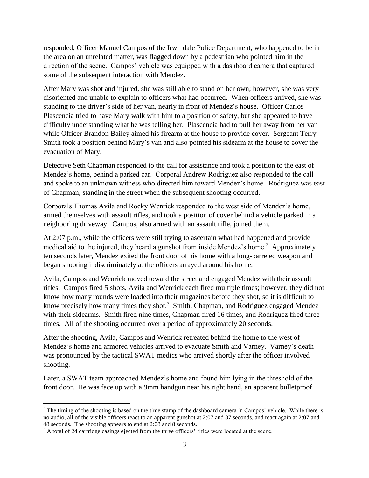responded, Officer Manuel Campos of the Irwindale Police Department, who happened to be in the area on an unrelated matter, was flagged down by a pedestrian who pointed him in the direction of the scene. Campos' vehicle was equipped with a dashboard camera that captured some of the subsequent interaction with Mendez.

After Mary was shot and injured, she was still able to stand on her own; however, she was very disoriented and unable to explain to officers what had occurred. When officers arrived, she was standing to the driver's side of her van, nearly in front of Mendez's house. Officer Carlos Plascencia tried to have Mary walk with him to a position of safety, but she appeared to have difficulty understanding what he was telling her. Plascencia had to pull her away from her van while Officer Brandon Bailey aimed his firearm at the house to provide cover. Sergeant Terry Smith took a position behind Mary's van and also pointed his sidearm at the house to cover the evacuation of Mary.

Detective Seth Chapman responded to the call for assistance and took a position to the east of Mendez's home, behind a parked car. Corporal Andrew Rodriguez also responded to the call and spoke to an unknown witness who directed him toward Mendez's home. Rodriguez was east of Chapman, standing in the street when the subsequent shooting occurred.

Corporals Thomas Avila and Rocky Wenrick responded to the west side of Mendez's home, armed themselves with assault rifles, and took a position of cover behind a vehicle parked in a neighboring driveway. Campos, also armed with an assault rifle, joined them.

At 2:07 p.m., while the officers were still trying to ascertain what had happened and provide medical aid to the injured, they heard a gunshot from inside Mendez's home.<sup>2</sup> Approximately ten seconds later, Mendez exited the front door of his home with a long-barreled weapon and began shooting indiscriminately at the officers arrayed around his home.

Avila, Campos and Wenrick moved toward the street and engaged Mendez with their assault rifles. Campos fired 5 shots, Avila and Wenrick each fired multiple times; however, they did not know how many rounds were loaded into their magazines before they shot, so it is difficult to know precisely how many times they shot.<sup>3</sup> Smith, Chapman, and Rodriguez engaged Mendez with their sidearms. Smith fired nine times, Chapman fired 16 times, and Rodriguez fired three times. All of the shooting occurred over a period of approximately 20 seconds.

After the shooting, Avila, Campos and Wenrick retreated behind the home to the west of Mendez's home and armored vehicles arrived to evacuate Smith and Varney. Varney's death was pronounced by the tactical SWAT medics who arrived shortly after the officer involved shooting.

Later, a SWAT team approached Mendez's home and found him lying in the threshold of the front door. He was face up with a 9mm handgun near his right hand, an apparent bulletproof

 $\overline{a}$ 

<sup>&</sup>lt;sup>2</sup> The timing of the shooting is based on the time stamp of the dashboard camera in Campos' vehicle. While there is no audio, all of the visible officers react to an apparent gunshot at 2:07 and 37 seconds, and react again at 2:07 and 48 seconds. The shooting appears to end at 2:08 and 8 seconds.

<sup>&</sup>lt;sup>3</sup> A total of 24 cartridge casings ejected from the three officers' rifles were located at the scene.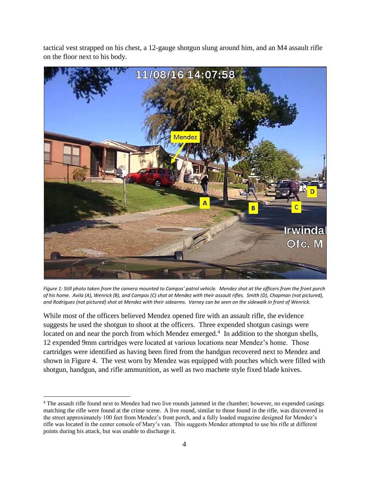tactical vest strapped on his chest, a 12-gauge shotgun slung around him, and an M4 assault rifle on the floor next to his body.



*Figure 1: Still photo taken from the camera mounted to Campos' patrol vehicle. Mendez shot at the officers from the front porch of his home. Avila (A), Wenrick (B), and Campos (C) shot at Mendez with their assault rifles. Smith (D), Chapman (not pictured), and Rodriguez (not pictured) shot at Mendez with their sidearms. Varney can be seen on the sidewalk in front of Wenrick.*

While most of the officers believed Mendez opened fire with an assault rifle, the evidence suggests he used the shotgun to shoot at the officers. Three expended shotgun casings were located on and near the porch from which Mendez emerged.<sup>4</sup> In addition to the shotgun shells, 12 expended 9mm cartridges were located at various locations near Mendez's home. Those cartridges were identified as having been fired from the handgun recovered next to Mendez and shown in Figure 4. The vest worn by Mendez was equipped with pouches which were filled with shotgun, handgun, and rifle ammunition, as well as two machete style fixed blade knives.

l

<sup>4</sup> The assault rifle found next to Mendez had two live rounds jammed in the chamber; however, no expended casings matching the rifle were found at the crime scene. A live round, similar to those found in the rifle, was discovered in the street approximately 100 feet from Mendez's front porch, and a fully loaded magazine designed for Mendez's rifle was located in the center console of Mary's van. This suggests Mendez attempted to use his rifle at different points during his attack, but was unable to discharge it.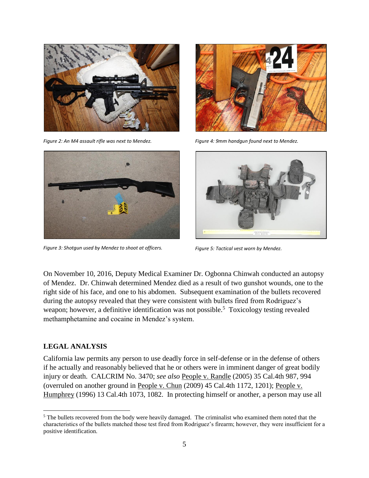

*Figure 2: An M4 assault rifle was next to Mendez.*



*Figure 3: Shotgun used by Mendez to shoot at officers.*



*Figure 4: 9mm handgun found next to Mendez.*



*Figure 5: Tactical vest worn by Mendez.*

On November 10, 2016, Deputy Medical Examiner Dr. Ogbonna Chinwah conducted an autopsy of Mendez. Dr. Chinwah determined Mendez died as a result of two gunshot wounds, one to the right side of his face, and one to his abdomen. Subsequent examination of the bullets recovered during the autopsy revealed that they were consistent with bullets fired from Rodriguez's weapon; however, a definitive identification was not possible.<sup>5</sup> Toxicology testing revealed methamphetamine and cocaine in Mendez's system.

#### **LEGAL ANALYSIS**

 $\overline{\phantom{a}}$ 

California law permits any person to use deadly force in self-defense or in the defense of others if he actually and reasonably believed that he or others were in imminent danger of great bodily injury or death. CALCRIM No. 3470; *see also* People v. Randle (2005) 35 Cal.4th 987, 994 (overruled on another ground in People v. Chun (2009) 45 Cal.4th 1172, 1201); People v. Humphrey (1996) 13 Cal.4th 1073, 1082. In protecting himself or another, a person may use all

<sup>&</sup>lt;sup>5</sup> The bullets recovered from the body were heavily damaged. The criminalist who examined them noted that the characteristics of the bullets matched those test fired from Rodriguez's firearm; however, they were insufficient for a positive identification.